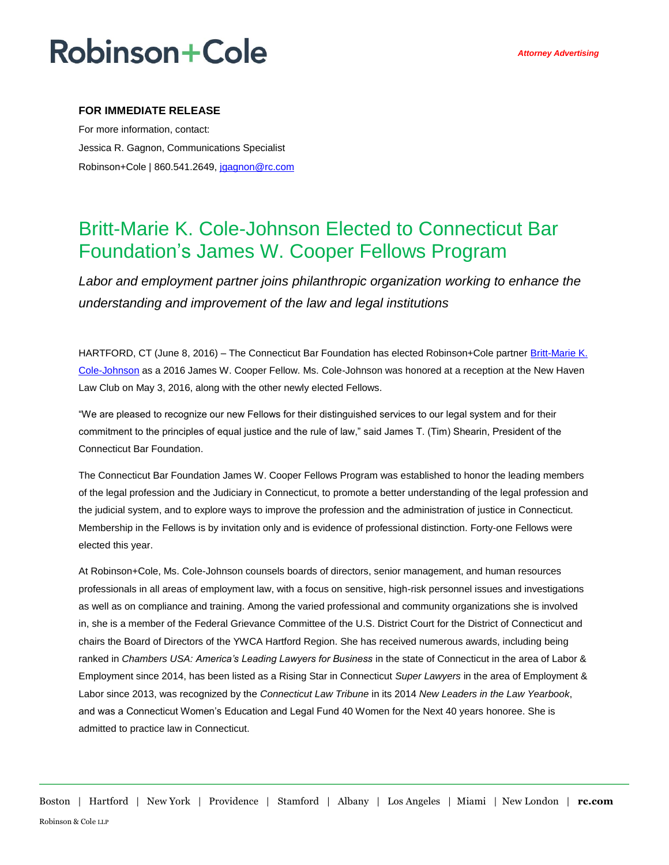## **Robinson+Cole**

### **FOR IMMEDIATE RELEASE**

For more information, contact: Jessica R. Gagnon, Communications Specialist Robinson+Cole | 860.541.2649, [jgagnon@rc.com](mailto:jgagnon@rc.com)

## Britt-Marie K. Cole-Johnson Elected to Connecticut Bar Foundation's James W. Cooper Fellows Program

*Labor and employment partner joins philanthropic organization working to enhance the understanding and improvement of the law and legal institutions*

HARTFORD, CT (June 8, 2016) – The Connecticut Bar Foundation has elected Robinson+Cole partner Britt-Marie K. [Cole-Johnson](http://www.rc.com/people/Britt-MarieKCole-Johnson.cfm) as a 2016 James W. Cooper Fellow. Ms. Cole-Johnson was honored at a reception at the New Haven Law Club on May 3, 2016, along with the other newly elected Fellows.

"We are pleased to recognize our new Fellows for their distinguished services to our legal system and for their commitment to the principles of equal justice and the rule of law," said James T. (Tim) Shearin, President of the Connecticut Bar Foundation.

The Connecticut Bar Foundation James W. Cooper Fellows Program was established to honor the leading members of the legal profession and the Judiciary in Connecticut, to promote a better understanding of the legal profession and the judicial system, and to explore ways to improve the profession and the administration of justice in Connecticut. Membership in the Fellows is by invitation only and is evidence of professional distinction. Forty-one Fellows were elected this year.

At Robinson+Cole, Ms. Cole-Johnson counsels boards of directors, senior management, and human resources professionals in all areas of employment law, with a focus on sensitive, high-risk personnel issues and investigations as well as on compliance and training. Among the varied professional and community organizations she is involved in, she is a member of the Federal Grievance Committee of the U.S. District Court for the District of Connecticut and chairs the Board of Directors of the YWCA Hartford Region. She has received numerous awards, including being ranked in *Chambers USA: America's Leading Lawyers for Business* in the state of Connecticut in the area of Labor & Employment since 2014, has been listed as a Rising Star in Connecticut *Super Lawyers* in the area of Employment & Labor since 2013, was recognized by the *Connecticut Law Tribune* in its 2014 *New Leaders in the Law Yearbook*, and was a Connecticut Women's Education and Legal Fund 40 Women for the Next 40 years honoree. She is admitted to practice law in Connecticut.

Boston | Hartford | New York | Providence | Stamford | Albany | Los Angeles | Miami | New London | **rc.com** Robinson & Cole LLP